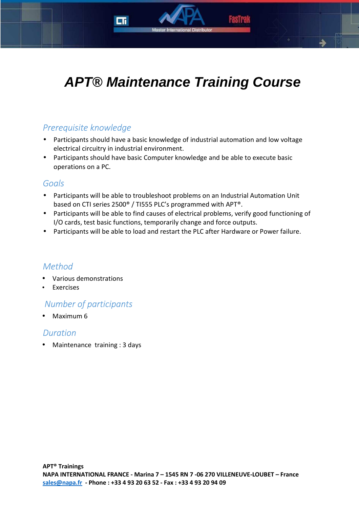# **APT® Maintenance Training Course**

# *Prerequisite knowledge*

- Participants should have a basic knowledge of industrial automation and low voltage electrical circuitry in industrial environment.
- Participants should have basic Computer knowledge and be able to execute basic operations on a PC.

## *Goals*

- Participants will be able to troubleshoot problems on an Industrial Automation Unit based on CTI series 2500® / TI555 PLC's programmed with APT®.
- Participants will be able to find causes of electrical problems, verify good functioning of I/O cards, test basic functions, temporarily change and force outputs.
- Participants will be able to load and restart the PLC after Hardware or Power failure.

# *Method*

- Various demonstrations
- **Exercises**

# *Number of participants*

• Maximum 6

## *Duration*

• Maintenance training : 3 days